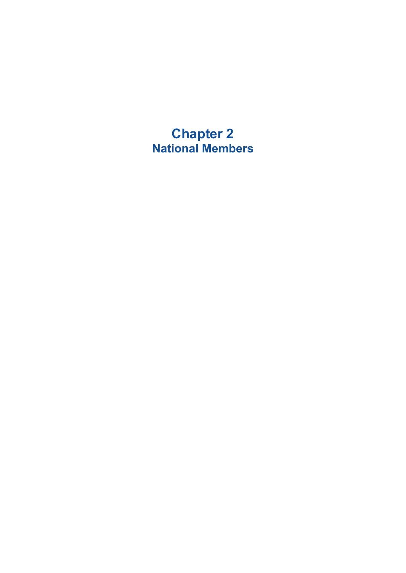**Chapter 2 National Members**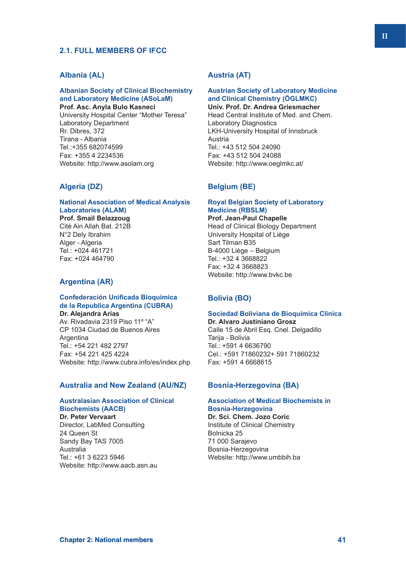# **2.1. FULL MEMBERS OF IFCC**

# **Albania (AL)**

# **Albanian Society of Clinical Biochemistry and Laboratory Medicine (ASoLaM)**

**Prof. Asc. Anyla Bulo Kasneci** University Hospital Center "Mother Teresa" Laboratory Department Rr. Dibres, 372 Tirana - Albania Tel.:+355 682074599 Fax: +355 4 2234536 Website: http://www.asolam.org

## **Algeria (DZ)**

#### **National Association of Medical Analysis Laboratories (ALAM) Prof. Smail Belazzoug**

Cité Ain Allah Bat. 212B N°2 Dely Ibrahim Alger - Algeria Tel.: +024 461721 Fax: +024 464790

# **Argentina (AR)**

## **Confederación Unificada Bioquímica de la Republica Argentina (CUBRA)**

**Dr. Alejandra Arias** Av. Rivadavia 2319 Piso 11º "A" CP 1034 Ciudad de Buenos Aires Argentina Tel.: +54 221 482 2797 Fax: +54 221 425 4224 Website: http://www.cubra.info/es/index.php

## **Australia and New Zealand (AU/NZ)**

## **Australasian Association of Clinical Biochemists (AACB)**

**Dr. Peter Vervaart** Director, LabMed Consulting 24 Queen St Sandy Bay TAS 7005 Australia Tel.: +61 3 6223 5946 Website: http://www.aacb.asn.au

# **Austria (AT)**

# **Austrian Society of Laboratory Medicine and Clinical Chemistry (ÖGLMKC)**

**Univ. Prof. Dr. Andrea Griesmacher** Head Central Institute of Med. and Chem. Laboratory Diagnostics LKH-University Hospital of Innsbruck Austria Tel.: +43 512 504 24090 Fax: +43 512 504 24088 Website: http://www.oeglmkc.at/

## **Belgium (BE)**

#### **Royal Belgian Society of Laboratory Medicine (RBSLM) Prof. Jean-Paul Chapelle**

Head of Clinical Biology Department University Hospital of Liège Sart Tilman B35 B-4000 Liège – Belgium Tel.: +32 4 3668822 Fax: +32 4 3668823 Website: http://www.bvkc.be

# **Bolivia (BO)**

## **Sociedad Boliviana de Bioquímica Clínica**

**Dr. Alvaro Justiniano Grosz** Calle 15 de Abril Esq. Cnel. Delgadillo Tarija - Bolivia Tel.: +591 4 6636790 Cel.: +591 71860232+ 591 71860232 Fax: +591 4 6668615

## **Bosnia-Herzegovina (BA)**

## **Association of Medical Biochemists in Bosnia-Herzegovina**

**Dr. Sci. Chem. Jozo Coric** Institute of Clinical Chemistry Bolnicka 25 71 000 Sarajevo Bosnia-Herzegovina Website: http://www.umbbih.ba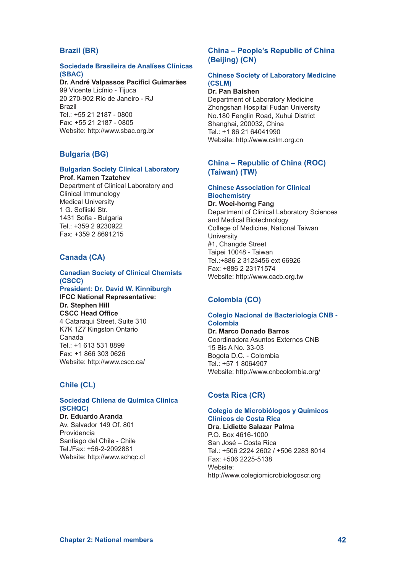# **Brazil (BR)**

## **Sociedade Brasileira de Analíses Clínicas (SBAC)**

#### **Dr. André Valpassos Pacifici Guimarães** 99 Vicente Licínio - Tijuca

20 270-902 Rio de Janeiro - RJ Brazil Tel:  $+55$  21 2187 - 0800 Fax: +55 21 2187 - 0805 Website: http://www.sbac.org.br

## **Bulgaria (BG)**

#### **Bulgarian Society Clinical Laboratory Prof. Kamen Tzatchev**

Department of Clinical Laboratory and Clinical Immunology Medical University 1 G. Sofiiski Str. 1431 Sofia - Bulgaria Tel.: +359 2 9230922 Fax: +359 2 8691215

# **Canada (CA)**

# **Canadian Society of Clinical Chemists (CSCC)**

**President: Dr. David W. Kinniburgh IFCC National Representative: Dr. Stephen Hill**

**CSCC Head Office** 4 Cataraqui Street, Suite 310 K7K 1Z7 Kingston Ontario Canada Tel.: +1 613 531 8899 Fax: +1 866 303 0626 Website: http://www.cscc.ca/

# **Chile (CL)**

# **Sociedad Chilena de Química Clínica (SCHQC)**

**Dr. Eduardo Aranda** Av. Salvador 149 Of. 801 Providencia Santiago del Chile - Chile Tel./Fax: +56-2-2092881 Website: http://www.schqc.cl

# **China – People's Republic of China (Beijing) (CN)**

## **Chinese Society of Laboratory Medicine (CSLM)**

**Dr. Pan Baishen** Department of Laboratory Medicine Zhongshan Hospital Fudan University No.180 Fenglin Road, Xuhui District Shanghai, 200032, China Tel.: +1 86 21 64041990 Website: http://www.cslm.org.cn

# **China – Republic of China (ROC) (Taiwan) (TW)**

## **Chinese Association for Clinical Biochemistry**

**Dr. Woei-horng Fang** Department of Clinical Laboratory Sciences and Medical Biotechnology College of Medicine, National Taiwan **University** #1, Changde Street Taipei 10048 - Taiwan Tel.:+886 2 3123456 ext 66926 Fax: +886 2 23171574 Website: http://www.cacb.org.tw

# **Colombia (CO)**

## **Colegio Nacional de Bacteriología CNB - Colombia**

**Dr. Marco Donado Barros** Coordinadora Asuntos Externos CNB

15 Bis A No. 33-03 Bogota D.C. - Colombia Tel.: +57 1 8064907 Website: http://www.cnbcolombia.org/

# **Costa Rica (CR)**

# **Colegio de Microbiólogos y Químicos Clínicos de Costa Rica**

**Dra. Lidiette Salazar Palma** P.O. Box 4616-1000 San José – Costa Rica Tel.: +506 2224 2602 / +506 2283 8014 Fax: +506 2225-5138 Website: http://www.colegiomicrobiologoscr.org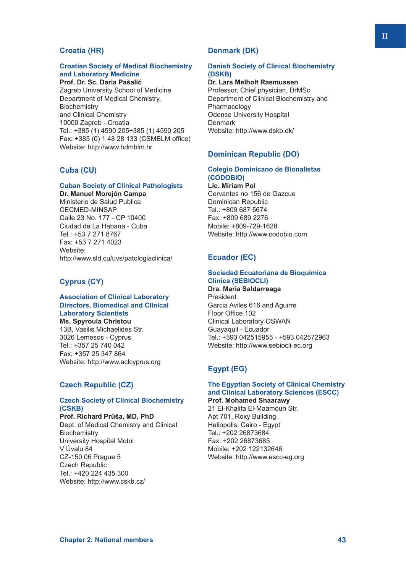# **Croatia (HR)**

# **Croatian Society of Medical Biochemistry and Laboratory Medicine**

**Prof. Dr. Sc. Daria Pašalić** Zagreb University School of Medicine Department of Medical Chemistry, **Biochemistry** and Clinical Chemistry 10000 Zagreb - Croatia Tel.: +385 (1) 4590 205+385 (1) 4590 205 Fax: +385 (0) 1 48 28 133 (CSMBLM office) Website: http://www.hdmblm.hr

# **Cuba (CU)**

## **Cuban Society of Clinical Pathologists**

**Dr. Manuel Morejón Campa** Ministerio de Salud Publica CECMED-MINSAP Calle 23 No. 177 - CP 10400 Ciudad de La Habana - Cuba Tel.: +53 7 271 8767 Fax: +53 7 271 4023 Website: http://www.sld.cu/uvs/patologiaclinica/

# **Cyprus (CY)**

## **Association of Clinical Laboratory Directors, Biomedical and Clinical Laboratory Scientists**

**Ms. Spyroula Christou** 13B, Vasilis Michaelides Str. 3026 Lemesos - Cyprus Tel.: +357 25 740 042 Fax: +357 25 347 864 Website: http://www.aclcyprus.org

# **Czech Republic (CZ)**

## **Czech Society of Clinical Biochemistry (CSKB)**

**Prof. Richard Průša, MD, PhD** Dept. of Medical Chemistry and Clinical **Biochemistry** University Hospital Motol V Úvalu 84 CZ-150 06 Prague 5 Czech Republic Tel.: +420 224 435 300 Website: http://www.cskb.cz/

# **Denmark (DK)**

## **Danish Society of Clinical Biochemistry (DSKB)**

## **Dr. Lars Melholt Rasmussen**

Professor, Chief physician, DrMSc Department of Clinical Biochemistry and Pharmacology Odense University Hospital **Denmark** Website: http://www.dskb.dk/

## **Dominican Republic (DO)**

## **Colegio Dominicano de Bionalistas (CODOBIO)**

**Lic. Miriam Pol** Cervantes no 156 de Gazcue Dominican Republic Tel.: +809 687 5674 Fax: +809 689 2276 Mobile: +809-729-1628 Website: http://www.codobio.com

## **Ecuador (EC)**

## **Sociedad Ecuatoriana de Bioquímica Clínica (SEBIOCLI)**

**Dra. Maria Saldarreaga** President Garcia Aviles 616 and Aguirre Floor Office 102 Clinical Laboratory OSWAN Guayaquil - Ecuador Tel.: +593 042515955 - +593 042572963 Website: http://www.sebiocli-ec.org

# **Egypt (EG)**

## **The Egyptian Society of Clinical Chemistry and Clinical Laboratory Sciences (ESCC) Prof. Mohamed Shaarawy**

21 El-Khalifa El-Maamoun Str. Apt 701, Roxy Building Heliopolis, Cairo - Egypt Tel.: +202 26873684 Fax: +202 26873685 Mobile: +202 122132646 Website: http://www.escc-eg.org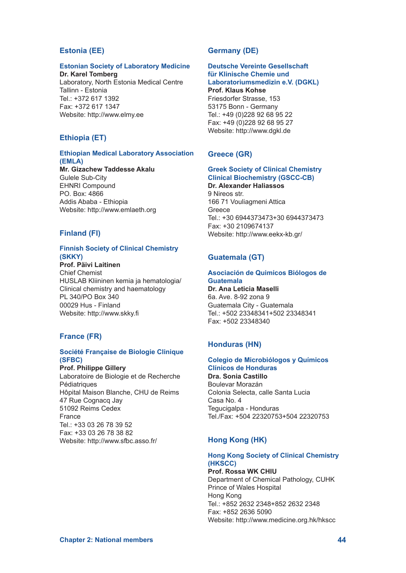# **Estonia (EE)**

## **Estonian Society of Laboratory Medicine**

**Dr. Karel Tomberg** Laboratory, North Estonia Medical Centre Tallinn - Estonia Tel.: +372 617 1392 Fax: +372 617 1347 Website: http://www.elmy.ee

# **Ethiopia (ET)**

## **Ethiopian Medical Laboratory Association (EMLA)**

**Mr. Gizachew Taddesse Akalu** Gulele Sub-City EHNRI Compound PO. Box: 4866 Addis Ababa - Ethiopia Website: http://www.emlaeth.org

# **Finland (FI)**

#### **Finnish Society of Clinical Chemistry (SKKY) Prof. Päivi Laitinen**

Chief Chemist HUSLAB Kliininen kemia ja hematologia/ Clinical chemistry and haematology PL 340/PO Box 340 00029 Hus - Finland Website: http://www.skky.fi

## **France (FR)**

## **Société Française de Biologie Clinique (SFBC)**

**Prof. Philippe Gillery** Laboratoire de Biologie et de Recherche **Pédiatriques** Hôpital Maison Blanche, CHU de Reims 47 Rue Cognacq Jay 51092 Reims Cedex France Tel.: +33 03 26 78 39 52 Fax: +33 03 26 78 38 82 Website: http://www.sfbc.asso.fr/

# **Germany (DE)**

#### **Deutsche Vereinte Gesellschaft für Klinische Chemie und Laboratoriumsmedizin e.V. (DGKL)**

**Prof. Klaus Kohse** Friesdorfer Strasse, 153 53175 Bonn - Germany Tel.: +49 (0)228 92 68 95 22 Fax: +49 (0)228 92 68 95 27 Website: http://www.dgkl.de

# **Greece (GR)**

#### **Greek Society of Clinical Chemistry Clinical Biochemistry (GSCC-CB)**

**Dr. Alexander Haliassos** 9 Nireos str. 166 71 Vouliagmeni Attica Greece Tel.: +30 6944373473+30 6944373473 Fax: +30 2109674137 Website: http://www.eekx-kb.gr/

# **Guatemala (GT)**

#### **Asociación de Quimicos Biólogos de Guatemala**

**Dr. Ana Leticia Maselli** 6a. Ave. 8-92 zona 9 Guatemala City - Guatemala Tel.: +502 23348341+502 23348341 Fax: +502 23348340

## **Honduras (HN)**

#### **Colegio de Microbiólogos y Químicos Clínicos de Honduras**

**Dra. Sonia Castillo** Boulevar Morazán Colonia Selecta, calle Santa Lucia Casa No. 4 Tegucigalpa - Honduras Tel./Fax: +504 22320753+504 22320753

# **Hong Kong (HK)**

# **Hong Kong Society of Clinical Chemistry (HKSCC)**

**Prof. Rossa WK CHIU** Department of Chemical Pathology, CUHK Prince of Wales Hospital Hong Kong Tel.: +852 2632 2348+852 2632 2348 Fax: +852 2636 5090 Website: http://www.medicine.org.hk/hkscc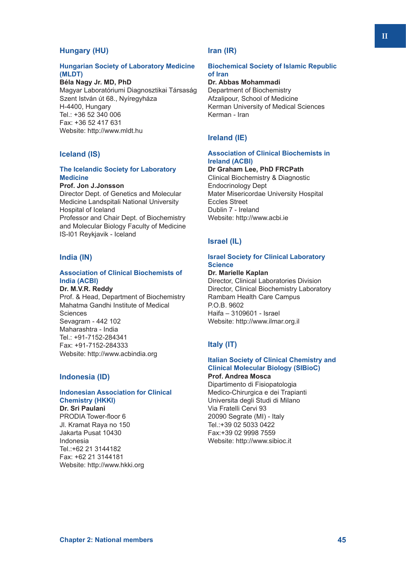# **Hungary (HU)**

## **Hungarian Society of Laboratory Medicine (MLDT)**

**Béla Nagy Jr. MD, PhD** Magyar Laboratóriumi Diagnosztikai Társaság Szent István út 68., Nyíregyháza H-4400, Hungary

Tel.: +36 52 340 006 Fax: +36 52 417 631 Website: http://www.mldt.hu

## **Iceland (IS)**

## **The Icelandic Society for Laboratory Medicine**

#### **Prof. Jon J.Jonsson**

Director Dept. of Genetics and Molecular Medicine Landspitali National University Hospital of Iceland Professor and Chair Dept. of Biochemistry and Molecular Biology Faculty of Medicine IS-I01 Reykjavik - Iceland

## **India (IN)**

## **Association of Clinical Biochemists of India (ACBI)**

**Dr. M.V.R. Reddy** Prof. & Head, Department of Biochemistry Mahatma Gandhi Institute of Medical Sciences Sevagram - 442 102 Maharashtra - India Tel.: +91-7152-284341 Fax: +91-7152-284333 Website: http://www.acbindia.org

# **Indonesia (ID)**

## **Indonesian Association for Clinical Chemistry (HKKI)**

**Dr. Sri Paulani** PRODIA Tower-floor 6 Jl. Kramat Raya no 150 Jakarta Pusat 10430 Indonesia Tel.:+62 21 3144182 Fax: +62 21 3144181 Website: http://www.hkki.org

# **Iran (IR)**

## **Biochemical Society of Islamic Republic of Iran**

# **Dr. Abbas Mohammadi**

Department of Biochemistry Afzalipour, School of Medicine Kerman University of Medical Sciences Kerman - Iran

# **Ireland (IE)**

## **Association of Clinical Biochemists in Ireland (ACBI)**

**Dr Graham Lee, PhD FRCPath** Clinical Biochemistry & Diagnostic Endocrinology Dept Mater Misericordae University Hospital Eccles Street Dublin 7 - Ireland Website: http://www.acbi.ie

# **Israel (IL)**

## **Israel Society for Clinical Laboratory Science**

**Dr. Marielle Kaplan** Director, Clinical Laboratories Division Director, Clinical Biochemistry Laboratory Rambam Health Care Campus P.O.B. 9602 Haifa – 3109601 - Israel Website: http://www.ilmar.org.il

# **Italy (IT)**

#### **Italian Society of Clinical Chemistry and Clinical Molecular Biology (SIBioC) Prof. Andrea Mosca**

Dipartimento di Fisiopatologia Medico-Chirurgica e dei Trapianti Universita degli Studi di Milano Via Fratelli Cervi 93 20090 Segrate (MI) - Italy Tel.:+39 02 5033 0422 Fax:+39 02 9998 7559 Website: http://www.sibioc.it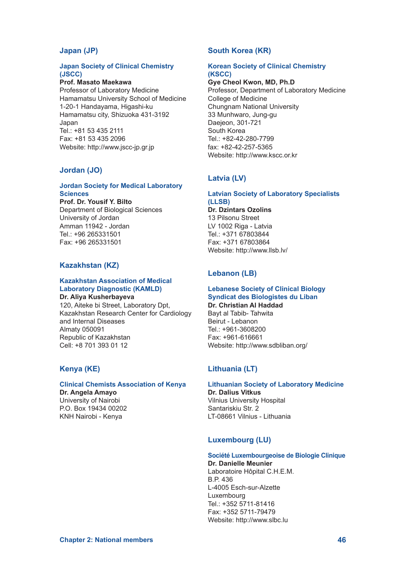# **Japan (JP)**

## **Japan Society of Clinical Chemistry (JSCC)**

**Prof. Masato Maekawa** Professor of Laboratory Medicine Hamamatsu University School of Medicine 1-20-1 Handayama, Higashi-ku Hamamatsu city, Shizuoka 431-3192 Japan Tel.: +81 53 435 2111 Fax: +81 53 435 2096 Website: http://www.jscc-jp.gr.jp

# **Jordan (JO)**

## **Jordan Society for Medical Laboratory Sciences**

**Prof. Dr. Yousif Y. Bilto** Department of Biological Sciences University of Jordan Amman 11942 - Jordan Tel.: +96 265331501 Fax: +96 265331501

## **Kazakhstan (KZ)**

#### **Kazakhstan Association of Medical Laboratory Diagnostic (KAMLD) Dr. Aliya Kusherbayevа**

120, Aiteke bi Street, Laboratory Dpt, Kazakhstan Research Center for Cardiology and Internal Diseases Almaty 050091 Republic of Kazakhstan Cell: +8 701 393 01 12

# **Kenya (KE)**

#### **Clinical Chemists Association of Kenya Dr. Angela Amayo**

University of Nairobi P.O. Box 19434 00202 KNH Nairobi - Kenya

# **South Korea (KR)**

## **Korean Society of Clinical Chemistry (KSCC)**

**Gye Cheol Kwon, MD, Ph.D** Professor, Department of Laboratory Medicine College of Medicine Chungnam National University 33 Munhwaro, Jung-gu Daejeon, 301-721 South Korea Tel.: +82-42-280-7799 fax: +82-42-257-5365 Website: http://www.kscc.or.kr

# **Latvia (LV)**

## **Latvian Society of Laboratory Specialists (LLSB) Dr. Dzintars Ozolins** 13 Pilsonu Street LV 1002 Riga - Latvia Tel.: +371 67803844 Fax: +371 67803864

# **Lebanon (LB)**

Website: http://www.llsb.lv/

## **Lebanese Society of Clinical Biology Syndicat des Biologistes du Liban Dr. Christian Al Haddad**

Bayt al Tabib- Tahwita Beirut - Lebanon  $Tel + 961 - 3608200$ Fax: +961-616661 Website: http://www.sdbliban.org/

# **Lithuania (LT)**

#### **Lithuanian Society of Laboratory Medicine**

**Dr. Dalius Vitkus** Vilnius University Hospital Santariskiu Str. 2 LT-08661 Vilnius - Lithuania

# **Luxembourg (LU)**

#### **Société Luxembourgeoise de Biologie Clinique**

**Dr. Danielle Meunier** Laboratoire Hôpital C.H.E.M. B.P. 436 L-4005 Esch-sur-Alzette Luxembourg Tel.: +352 5711-81416 Fax: +352 5711-79479 Website: http://www.slbc.lu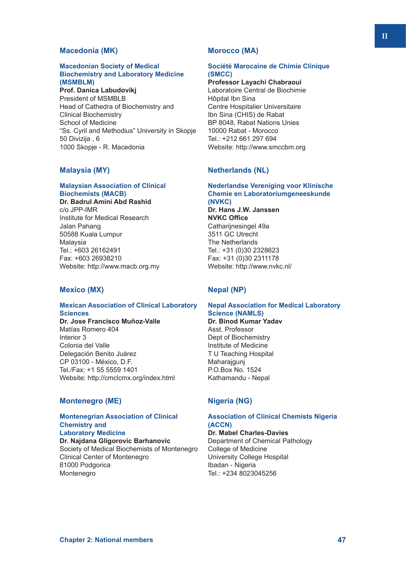## **Macedonia (MK)**

#### **Macedonian Society of Medical Biochemistry and Laboratory Medicine (MSMBLM)**

**Prof. Danica Labudovikj** President of MSMBLB Head of Cathedra of Biochemistry and Clinical Biochemistry School of Medicine "Ss. Cyril and Methodius" University in Skopje 50 Divizija , 6 1000 Skopje - R. Macedonia

# **Malaysia (MY)**

## **Malaysian Association of Clinical Biochemists (MACB)**

**Dr. Badrul Amini Abd Rashid** c/o JPP-IMR Institute for Medical Research Jalan Pahang 50588 Kuala Lumpur Malaysia Tel: +603 26162491 Fax: +603 26938210 Website: http://www.macb.org.my

# **Mexico (MX)**

# **Mexican Association of Clinical Laboratory Sciences**

**Dr. Jose Francisco Muñoz-Valle** Matías Romero 404 Interior 3 Colonia del Valle Delegación Benito Juárez CP 03100 - México, D.F. Tel./Fax: +1 55 5559 1401 Website: http://cmclcmx.org/index.html

## **Montenegro (ME)**

#### **Montenegrian Association of Clinical Chemistry and Laboratory Medicine**

**Dr. Najdana Gligorovic Barhanovic** Society of Medical Biochemists of Montenegro Clinical Center of Montenegro 81000 Podgorica Montenegro

## **Morocco (MA)**

## **Société Marocaine de Chimie Clinique (SMCC)**

**Professor Layachi Chabraoui** Laboratoire Central de Biochimie Hôpital Ibn Sina Centre Hospitalier Universitaire Ibn Sina (CHIS) de Rabat BP 8048, Rabat Nations Unies 10000 Rabat - Morocco Tel.: +212 661 297 694 Website: http://www.smccbm.org

# **Netherlands (NL)**

# **Nederlandse Vereniging voor Klinische Chemie en Laboratoriumgeneeskunde (NVKC)**

**Dr. Hans J.W. Janssen NVKC Office** Cathariinesingel 49a 3511 GC Utrecht The Netherlands Tel.: +31 (0)30 2328623 Fax: +31 (0)30 2311178 Website: http://www.nvkc.nl/

## **Nepal (NP)**

## **Nepal Association for Medical Laboratory Science (NAMLS)**

**Dr. Binod Kumar Yadav** Asst. Professor Dept of Biochemistry Institute of Medicine T U Teaching Hospital Maharajgunj P.O.Box No. 1524 Kathamandu - Nepal

## **Nigeria (NG)**

## **Association of Clinical Chemists Nigeria (ACCN)**

**Dr. Mabel Charles-Davies** Department of Chemical Pathology College of Medicine University College Hospital Ibadan - Nigeria Tel.: +234 8023045256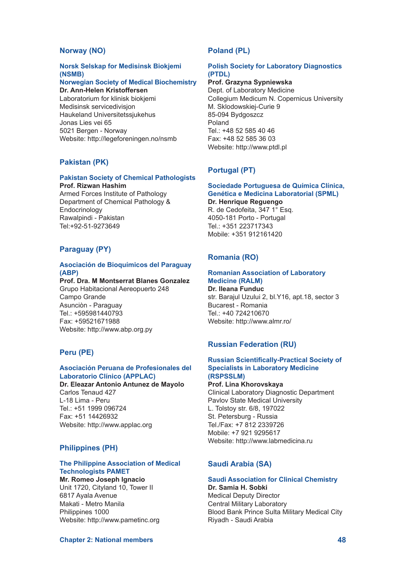# **Norway (NO)**

# **Norsk Selskap for Medisinsk Biokjemi (NSMB)**

#### **Norwegian Society of Medical Biochemistry Dr. Ann-Helen Kristoffersen**

Laboratorium for klinisk biokjemi Medisinsk servicedivisjon Haukeland Universitetssjukehus Jonas Lies vei 65 5021 Bergen - Norway Website: http://legeforeningen.no/nsmb

# **Pakistan (PK)**

#### **Pakistan Society of Chemical Pathologists Prof. Rizwan Hashim**

Armed Forces Institute of Pathology Department of Chemical Pathology & **Endocrinology** Rawalpindi - Pakistan Tel:+92-51-9273649

# **Paraguay (PY)**

## **Asociación de Bioquímicos del Paraguay (ABP)**

**Prof. Dra. M Montserrat Blanes Gonzalez** Grupo Habitacional Aereopuerto 248 Campo Grande Asunciòn - Paraguay Tel.: +595981440793 Fax: +59521671988 Website: http://www.abp.org.py

# **Peru (PE)**

#### **Asociación Peruana de Profesionales del Laboratorio Clínico (APPLAC)**

**Dr. Eleazar Antonio Antunez de Mayolo** Carlos Tenaud 427 L-18 Lima - Peru Tel.: +51 1999 096724 Fax: +51 14426932 Website: http://www.applac.org

# **Philippines (PH)**

## **The Philippine Association of Medical Technologists PAMET**

**Mr. Romeo Joseph Ignacio** Unit 1720, Cityland 10, Tower II 6817 Ayala Avenue Makati - Metro Manila Philippines 1000 Website: http://www.pametinc.org

# **Poland (PL)**

## **Polish Society for Laboratory Diagnostics (PTDL)**

# **Prof. Grazyna Sypniewska**

Dept. of Laboratory Medicine Collegium Medicum N. Copernicus University M. Sklodowskiej-Curie 9 85-094 Bydgoszcz Poland Tel.: +48 52 585 40 46 Fax: +48 52 585 36 03 Website: http://www.ptdl.pl

# **Portugal (PT)**

#### **Sociedade Portuguesa de Química Clínica, Genética e Medicina Laboratorial (SPML)**

#### **Dr. Henrique Reguengo**

R. de Cedofeita, 347 1° Esq. 4050-181 Porto - Portugal Tel.: +351 223717343 Mobile: +351 912161420

# **Romania (RO)**

#### **Romanian Association of Laboratory Medicine (RALM)**

**Dr. Ileana Funduc** str. Barajul Uzului 2, bl.Y16, apt.18, sector 3 Bucarest - Romania Tel.: +40 724210670 Website: http://www.almr.ro/

# **Russian Federation (RU)**

#### **Russian Scientifically-Practical Society of Specialists in Laboratory Medicine (RSPSSLM)**

# **Prof. Lina Khorovskaya**

Clinical Laboratory Diagnostic Department Pavlov State Medical University L. Tolstoy str. 6/8, 197022 St. Petersburg - Russia Tel./Fax: +7 812 2339726 Mobile: +7 921 9295617 Website: http://www.labmedicina.ru

# **Saudi Arabia (SA)**

#### **Saudi Association for Clinical Chemistry**

**Dr. Samia H. Sobki** Medical Deputy Director Central Military Laboratory Blood Bank Prince Sulta Military Medical City Riyadh - Saudi Arabia

**Chapter 2: National members 48**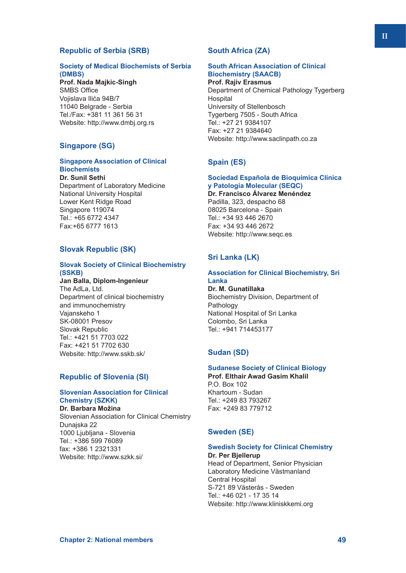# **Republic of Serbia (SRB)**

## **Society of Medical Biochemists of Serbia (DMBS)**

**Prof. Nada Majkic-Singh** SMBS Office Vojislava Ilića 94B/7 11040 Belgrade - Serbia Tel./Fax: +381 11 361 56 31 Website: http://www.dmbj.org.rs

# **Singapore (SG)**

## **Singapore Association of Clinical Biochemists**

**Dr. Sunil Sethi** Department of Laboratory Medicine National University Hospital Lower Kent Ridge Road Singapore 119074 Tel.: +65 6772 4347 Fax:+65 6777 1613

# **Slovak Republic (SK)**

## **Slovak Society of Clinical Biochemistry (SSKB)**

**Jan Balla, Diplom-Ingenieur** The AdLa, Ltd. Department of clinical biochemistry and immunochemistry Vajanskeho 1 SK-08001 Presov Slovak Republic Tel.: +421 51 7703 022 Fax: +421 51 7702 630 Website: http://www.sskb.sk/

# **Republic of Slovenia (SI)**

#### **Slovenian Association for Clinical Chemistry (SZKK) Dr. Barbara Možina**

Slovenian Association for Clinical Chemistry Dunajska 22 1000 Ljubljana - Slovenia Tel.: +386 599 76089 fax: +386 1 2321331 Website: http://www.szkk.si/

# **South Africa (ZA)**

#### **South African Association of Clinical Biochemistry (SAACB) Prof. Rajiv Erasmus**

Department of Chemical Pathology Tygerberg Hospital University of Stellenbosch Tygerberg 7505 - South Africa Tel.: +27 21 9384107 Fax: +27 21 9384640 Website: http://www.saclinpath.co.za

# **Spain (ES)**

# **Sociedad Española de Bioquímica Clínica y Patología Molecular (SEQC) Dr. Francisco Álvarez Menéndez** Padilla, 323, despacho 68

08025 Barcelona - Spain Tel.: +34 93 446 2670 Fax: +34 93 446 2672 Website: http://www.seqc.es

# **Sri Lanka (LK)**

## **Association for Clinical Biochemistry, Sri Lanka**

**Dr. M. Gunatillaka** Biochemistry Division, Department of Pathology National Hospital of Sri Lanka Colombo, Sri Lanka Tel: +941 714453177

# **Sudan (SD)**

# **Sudanese Society of Clinical Biology**

**Prof. Elthair Awad Gasim Khalil** P.O. Box 102 Khartoum - Sudan Tel.: +249 83 793267 Fax: +249 83 779712

## **Sweden (SE)**

#### **Swedish Society for Clinical Chemistry Dr. Per Bjellerup**

Head of Department, Senior Physician Laboratory Medicine Västmanland Central Hospital S-721 89 Västerås - Sweden Tel.: +46 021 - 17 35 14 Website: http://www.kliniskkemi.org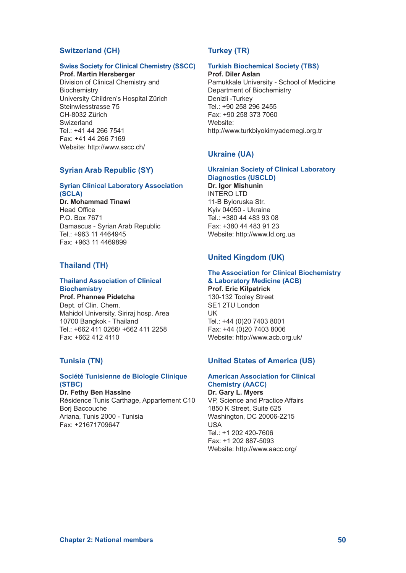# **Switzerland (CH)**

## **Swiss Society for Clinical Chemistry (SSCC)**

**Prof. Martin Hersberger** Division of Clinical Chemistry and **Biochemistry** University Children's Hospital Zürich Steinwiesstrasse 75 CH-8032 Zürich Swizerland Tel.: +41 44 266 7541 Fax: +41 44 266 7169 Website: http://www.sscc.ch/

## **Syrian Arab Republic (SY)**

## **Syrian Clinical Laboratory Association (SCLA)**

**Dr. Mohammad Tinawi** Head Office P.O. Box 7671 Damascus - Syrian Arab Republic Tel.: +963 11 4464945 Fax: +963 11 4469899

# **Thailand (TH)**

#### **Thailand Association of Clinical Biochemistry**

**Prof. Phannee Pidetcha** Dept. of Clin. Chem. Mahidol University, Siriraj hosp. Area 10700 Bangkok - Thailand Tel.: +662 411 0266/ +662 411 2258 Fax: +662 412 4110

## **Tunisia (TN)**

## **Société Tunisienne de Biologie Clinique (STBC)**

**Dr. Fethy Ben Hassine** Résidence Tunis Carthage, Appartement C10 Borj Baccouche Ariana, Tunis 2000 - Tunisia Fax: +21671709647

# **Turkey (TR)**

# **Turkish Biochemical Society (TBS)**

**Prof. Diler Aslan** Pamukkale University - School of Medicine

Department of Biochemistry Denizli -Turkey Tel.: +90 258 296 2455 Fax: +90 258 373 7060 Website: http://www.turkbiyokimyadernegi.org.tr

## **Ukraine (UA)**

#### **Ukrainian Society of Clinical Laboratory Diagnostics (USCLD)**

**Dr. Igor Mishunin** INTERO LTD 11-B Byloruska Str. Kyiv 04050 - Ukraine Tel.: +380 44 483 93 08 Fax: +380 44 483 91 23 Website: http://www.ld.org.ua

## **United Kingdom (UK)**

#### **The Association for Clinical Biochemistry & Laboratory Medicine (ACB)**

**Prof. Eric Kilpatrick** 130-132 Tooley Street SE1 2TU London UK Tel.: +44 (0)20 7403 8001 Fax: +44 (0)20 7403 8006 Website: http://www.acb.org.uk/

## **United States of America (US)**

## **American Association for Clinical Chemistry (AACC)**

**Dr. Gary L. Myers** VP, Science and Practice Affairs 1850 K Street, Suite 625 Washington, DC 20006-2215 USA Tel.: +1 202 420-7606 Fax: +1 202 887-5093 Website: http://www.aacc.org/